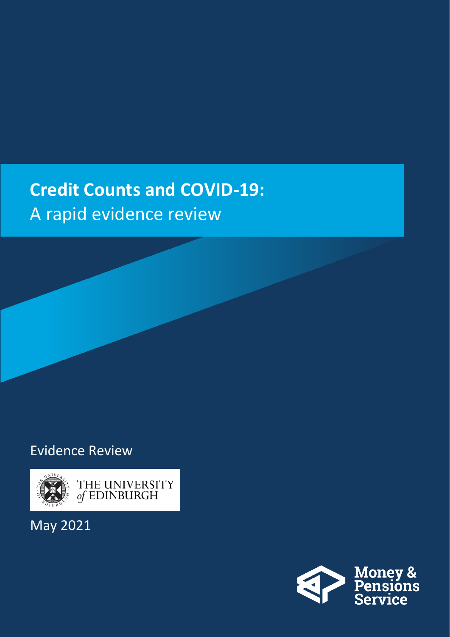## **Credit Counts and COVID-19:**  A rapid evidence review

## Evidence Review



May 2021

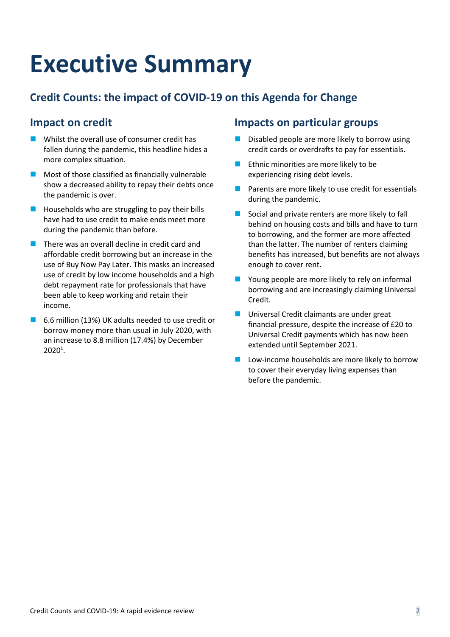# **Executive Summary**

## **Credit Counts: the impact of COVID-19 on this Agenda for Change**

## **Impact on credit**

- $\blacksquare$  Whilst the overall use of consumer credit has fallen during the pandemic, this headline hides a more complex situation.
- $\blacksquare$  Most of those classified as financially vulnerable show a decreased ability to repay their debts once the pandemic is over.
- $\blacksquare$  Households who are struggling to pay their bills have had to use credit to make ends meet more during the pandemic than before.
- There was an overall decline in credit card and affordable credit borrowing but an increase in the use of Buy Now Pay Later. This masks an increased use of credit by low income households and a high debt repayment rate for professionals that have been able to keep working and retain their income.
- ◼ 6.6 million (13%) UK adults needed to use credit or borrow money more than usual in July 2020, with an increase to 8.8 million (17.4%) by December  $2020<sup>1</sup>$ .

## **Impacts on particular groups**

- Disabled people are more likely to borrow using credit cards or overdrafts to pay for essentials.
- Ethnic minorities are more likely to be experiencing rising debt levels.
- Parents are more likely to use credit for essentials during the pandemic.
- Social and private renters are more likely to fall behind on housing costs and bills and have to turn to borrowing, and the former are more affected than the latter. The number of renters claiming benefits has increased, but benefits are not always enough to cover rent.
- Young people are more likely to rely on informal borrowing and are increasingly claiming Universal Credit.
- Universal Credit claimants are under great financial pressure, despite the increase of £20 to Universal Credit payments which has now been extended until September 2021.
- Low-income households are more likely to borrow to cover their everyday living expenses than before the pandemic.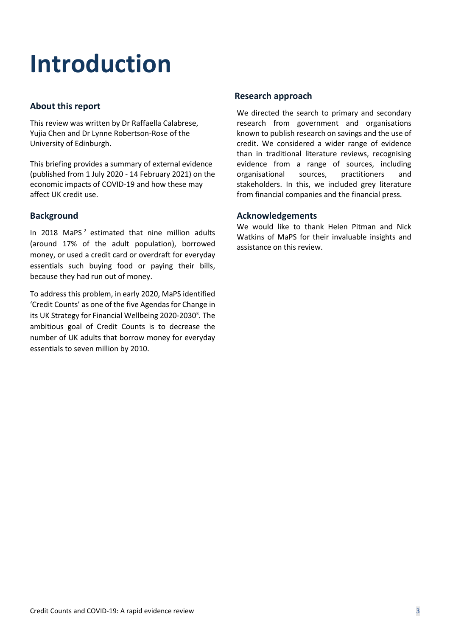# **Introduction**

#### **About this report**

This review was written by Dr Raffaella Calabrese, Yujia Chen and Dr Lynne Robertson-Rose of the University of Edinburgh.

This briefing provides a summary of external evidence (published from 1 July 2020 - 14 February 2021) on the economic impacts of COVID-19 and how these may affect UK credit use.

#### **Background**

In 2018 MaPS $<sup>2</sup>$  estimated that nine million adults</sup> (around 17% of the adult population), borrowed money, or used a credit card or overdraft for everyday essentials such buying food or paying their bills, because they had run out of money.

To address this problem, in early 2020, MaPS identified 'Credit Counts' as one of the five Agendas for Change in its UK Strategy for Financial Wellbeing 2020-2030<sup>3</sup>. The ambitious goal of Credit Counts is to decrease the number of UK adults that borrow money for everyday essentials to seven million by 2010.

#### **Research approach**

We directed the search to primary and secondary research from government and organisations known to publish research on savings and the use of credit. We considered a wider range of evidence than in traditional literature reviews, recognising evidence from a range of sources, including organisational sources, practitioners and stakeholders. In this, we included grey literature from financial companies and the financial press.

#### **Acknowledgements**

We would like to thank Helen Pitman and Nick Watkins of MaPS for their invaluable insights and assistance on this review.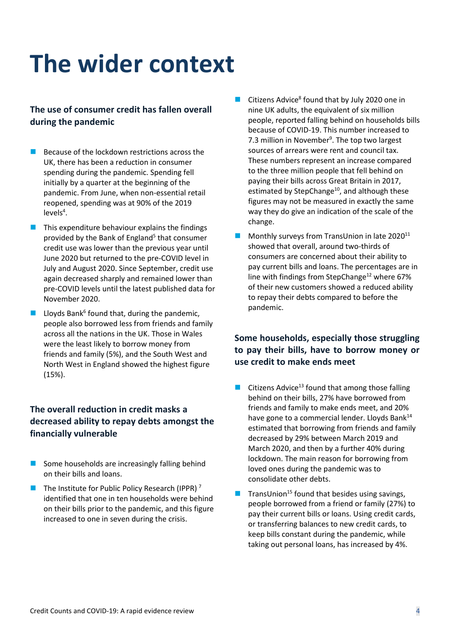## **The wider context**

### **The use of consumer credit has fallen overall during the pandemic**

- $\blacksquare$  Because of the lockdown restrictions across the UK, there has been a reduction in consumer spending during the pandemic. Spending fell initially by a quarter at the beginning of the pandemic. From June, when non-essential retail reopened, spending was at 90% of the 2019  $levels<sup>4</sup>$ .
- This expenditure behaviour explains the findings provided by the Bank of England<sup>5</sup> that consumer credit use was lower than the previous year until June 2020 but returned to the pre-COVID level in July and August 2020. Since September, credit use again decreased sharply and remained lower than pre-COVID levels until the latest published data for November 2020.
- $\blacksquare$  Lloyds Bank<sup>6</sup> found that, during the pandemic, people also borrowed less from friends and family across all the nations in the UK. Those in Wales were the least likely to borrow money from friends and family (5%), and the South West and North West in England showed the highest figure (15%).

### **The overall reduction in credit masks a decreased ability to repay debts amongst the financially vulnerable**

- $\blacksquare$  Some households are increasingly falling behind on their bills and loans.
- $\blacksquare$  The Institute for Public Policy Research (IPPR)<sup>7</sup> identified that one in ten households were behind on their bills prior to the pandemic, and this figure increased to one in seven during the crisis.
- Citizens Advice<sup>8</sup> found that by July 2020 one in nine UK adults, the equivalent of six million people, reported falling behind on households bills because of COVID-19. This number increased to 7.3 million in November<sup>9</sup>. The top two largest sources of arrears were rent and council tax. These numbers represent an increase compared to the three million people that fell behind on paying their bills across Great Britain in 2017, estimated by StepChange<sup>10</sup>, and although these figures may not be measured in exactly the same way they do give an indication of the scale of the change.
- Monthly surveys from TransUnion in late 2020<sup>11</sup> showed that overall, around two-thirds of consumers are concerned about their ability to pay current bills and loans. The percentages are in line with findings from StepChange<sup>12</sup> where 67% of their new customers showed a reduced ability to repay their debts compared to before the pandemic.

### **Some households, especially those struggling to pay their bills, have to borrow money or use credit to make ends meet**

- Citizens Advice<sup>13</sup> found that among those falling behind on their bills, 27% have borrowed from friends and family to make ends meet, and 20% have gone to a commercial lender. Lloyds Bank $^{14}$ estimated that borrowing from friends and family decreased by 29% between March 2019 and March 2020, and then by a further 40% during lockdown. The main reason for borrowing from loved ones during the pandemic was to consolidate other debts.
- $\blacksquare$  TransUnion<sup>15</sup> found that besides using savings, people borrowed from a friend or family (27%) to pay their current bills or loans. Using credit cards, or transferring balances to new credit cards, to keep bills constant during the pandemic, while taking out personal loans, has increased by 4%.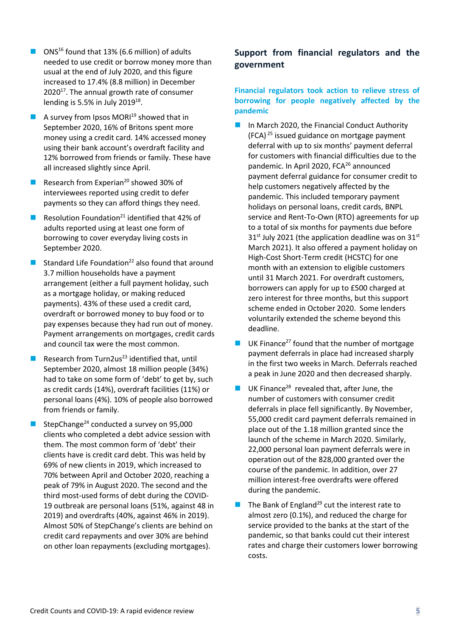- ONS<sup>16</sup> found that 13% (6.6 million) of adults needed to use credit or borrow money more than usual at the end of July 2020, and this figure increased to 17.4% (8.8 million) in December 2020<sup>17</sup>. The annual growth rate of consumer lending is 5.5% in July 2019 $^{18}$ .
- A survey from Ipsos  $MOR<sup>19</sup>$  showed that in September 2020, 16% of Britons spent more money using a credit card. 14% accessed money using their bank account's overdraft facility and 12% borrowed from friends or family. These have all increased slightly since April.
- Research from Experian<sup>20</sup> showed 30% of interviewees reported using credit to defer payments so they can afford things they need.
- Resolution Foundation<sup>21</sup> identified that 42% of adults reported using at least one form of borrowing to cover everyday living costs in September 2020.
- Standard Life Foundation<sup>22</sup> also found that around 3.7 million households have a payment arrangement (either a full payment holiday, such as a mortgage holiday, or making reduced payments). 43% of these used a credit card, overdraft or borrowed money to buy food or to pay expenses because they had run out of money. Payment arrangements on mortgages, credit cards and council tax were the most common.
- Research from Turn2us<sup>23</sup> identified that, until September 2020, almost 18 million people (34%) had to take on some form of 'debt' to get by, such as credit cards (14%), overdraft facilities (11%) or personal loans (4%). 10% of people also borrowed from friends or family.
- StepChange $^{24}$  conducted a survey on 95,000 clients who completed a debt advice session with them. The most common form of 'debt' their clients have is credit card debt. This was held by 69% of new clients in 2019, which increased to 70% between April and October 2020, reaching a peak of 79% in August 2020. The second and the third most-used forms of debt during the COVID-19 outbreak are personal loans (51%, against 48 in 2019) and overdrafts (40%, against 46% in 2019). Almost 50% of StepChange's clients are behind on credit card repayments and over 30% are behind on other loan repayments (excluding mortgages).

### **Support from financial regulators and the government**

#### **Financial regulators took action to relieve stress of borrowing for people negatively affected by the pandemic**

- In March 2020, the Financial Conduct Authority (FCA)<sup>25</sup> issued guidance on mortgage payment deferral with up to six months' payment deferral for customers with financial difficulties due to the pandemic. In April 2020, FCA<sup>26</sup> announced payment deferral guidance for consumer credit to help customers negatively affected by the pandemic. This included temporary payment holidays on personal loans, credit cards, BNPL service and Rent-To-Own (RTO) agreements for up to a total of six months for payments due before  $31<sup>st</sup>$  July 2021 (the application deadline was on 31st March 2021). It also offered a payment holiday on High-Cost Short-Term credit (HCSTC) for one month with an extension to eligible customers until 31 March 2021. For overdraft customers, borrowers can apply for up to £500 charged at zero interest for three months, but this support scheme ended in October 2020. Some lenders voluntarily extended the scheme beyond this deadline.
- $\blacksquare$  UK Finance<sup>27</sup> found that the number of mortgage payment deferrals in place had increased sharply in the first two weeks in March. Deferrals reached a peak in June 2020 and then decreased sharply.
- $\blacksquare$  UK Finance<sup>28</sup> revealed that, after June, the number of customers with consumer credit deferrals in place fell significantly. By November, 55,000 credit card payment deferrals remained in place out of the 1.18 million granted since the launch of the scheme in March 2020. Similarly, 22,000 personal loan payment deferrals were in operation out of the 828,000 granted over the course of the pandemic. In addition, over 27 million interest-free overdrafts were offered during the pandemic.
- The Bank of England<sup>29</sup> cut the interest rate to almost zero (0.1%), and reduced the charge for service provided to the banks at the start of the pandemic, so that banks could cut their interest rates and charge their customers lower borrowing costs.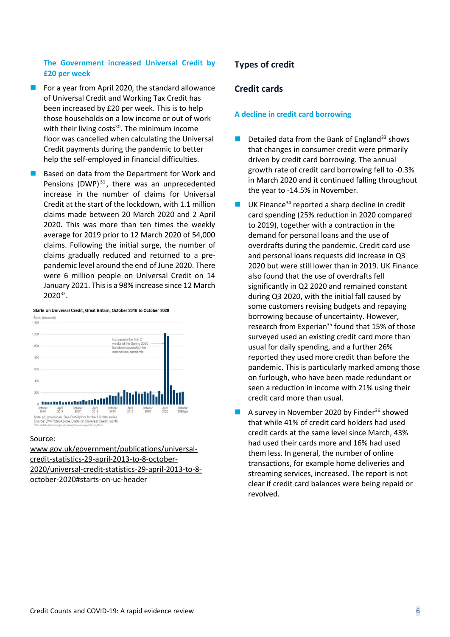#### **The Government increased Universal Credit by £20 per week**

- $\blacksquare$  For a year from April 2020, the standard allowance of Universal Credit and Working Tax Credit has been increased by £20 per week. This is to help those households on a low income or out of work with their living costs $30$ . The minimum income floor was cancelled when calculating the Universal Credit payments during the pandemic to better help the self-employed in financial difficulties.
- Based on data from the Department for Work and Pensions (DWP) $^{31}$ , there was an unprecedented increase in the number of claims for Universal Credit at the start of the lockdown, with 1.1 million claims made between 20 March 2020 and 2 April 2020. This was more than ten times the weekly average for 2019 prior to 12 March 2020 of 54,000 claims. Following the initial surge, the number of claims gradually reduced and returned to a prepandemic level around the end of June 2020. There were 6 million people on Universal Credit on 14 January 2021. This is a 98% increase since 12 March 2020<sup>32</sup>.



#### Source:

[www.gov.uk/government/publications/universal](http://www.gov.uk/government/publications/universal-credit-statistics-29-april-2013-to-8-october-2020/universal-credit-statistics-29-april-2013-to-8-october-2020#starts-on-uc-header)[credit-statistics-29-april-2013-to-8-october-](http://www.gov.uk/government/publications/universal-credit-statistics-29-april-2013-to-8-october-2020/universal-credit-statistics-29-april-2013-to-8-october-2020#starts-on-uc-header)[2020/universal-credit-statistics-29-april-2013-to-8](http://www.gov.uk/government/publications/universal-credit-statistics-29-april-2013-to-8-october-2020/universal-credit-statistics-29-april-2013-to-8-october-2020#starts-on-uc-header) [october-2020#starts-on-uc-header](http://www.gov.uk/government/publications/universal-credit-statistics-29-april-2013-to-8-october-2020/universal-credit-statistics-29-april-2013-to-8-october-2020#starts-on-uc-header)

#### **Types of credit**

#### **Credit cards**

#### **A decline in credit card borrowing**

- $\blacksquare$  Detailed data from the Bank of England<sup>33</sup> shows that changes in consumer credit were primarily driven by credit card borrowing. The annual growth rate of credit card borrowing fell to -0.3% in March 2020 and it continued falling throughout the year to -14.5% in November.
- **■** UK Finance<sup>34</sup> reported a sharp decline in credit card spending (25% reduction in 2020 compared to 2019), together with a contraction in the demand for personal loans and the use of overdrafts during the pandemic. Credit card use and personal loans requests did increase in Q3 2020 but were still lower than in 2019. UK Finance also found that the use of overdrafts fell significantly in Q2 2020 and remained constant during Q3 2020, with the initial fall caused by some customers revising budgets and repaying borrowing because of uncertainty. However, research from Experian<sup>35</sup> found that 15% of those surveyed used an existing credit card more than usual for daily spending, and a further 26% reported they used more credit than before the pandemic. This is particularly marked among those on furlough, who have been made redundant or seen a reduction in income with 21% using their credit card more than usual.
- A survey in November 2020 by Finder<sup>36</sup> showed that while 41% of credit card holders had used credit cards at the same level since March, 43% had used their cards more and 16% had used them less. In general, the number of online transactions, for example home deliveries and streaming services, increased. The report is not clear if credit card balances were being repaid or revolved.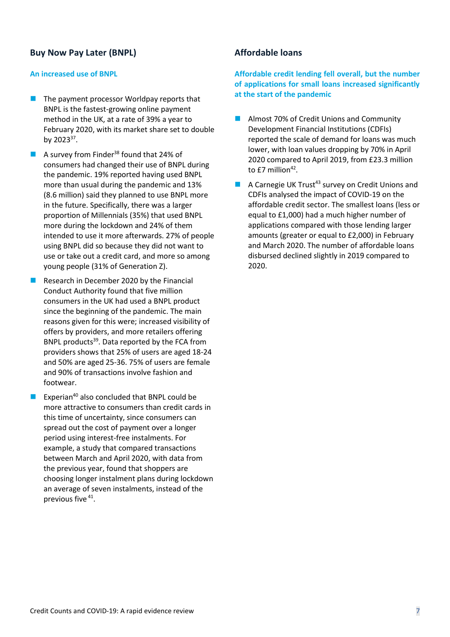### **Buy Now Pay Later (BNPL)**

#### **An increased use of BNPL**

- The payment processor Worldpay reports that BNPL is the fastest-growing online payment method in the UK, at a rate of 39% a year to February 2020, with its market share set to double by 2023 $^{37}$ .
- A survey from Finder<sup>38</sup> found that 24% of consumers had changed their use of BNPL during the pandemic. 19% reported having used BNPL more than usual during the pandemic and 13% (8.6 million) said they planned to use BNPL more in the future. Specifically, there was a larger proportion of Millennials (35%) that used BNPL more during the lockdown and 24% of them intended to use it more afterwards. 27% of people using BNPL did so because they did not want to use or take out a credit card, and more so among young people (31% of Generation Z).
- Research in December 2020 by the Financial Conduct Authority found that five million consumers in the UK had used a BNPL product since the beginning of the pandemic. The main reasons given for this were; increased visibility of offers by providers, and more retailers offering BNPL products<sup>39</sup>. Data reported by the FCA from providers shows that 25% of users are aged 18-24 and 50% are aged 25-36. 75% of users are female and 90% of transactions involve fashion and footwear.
- Experian<sup>40</sup> also concluded that BNPL could be more attractive to consumers than credit cards in this time of uncertainty, since consumers can spread out the cost of payment over a longer period using interest-free instalments. For example, a study that compared transactions between March and April 2020, with data from the previous year, found that shoppers are choosing longer instalment plans during lockdown an average of seven instalments, instead of the previous five <sup>41</sup>.

#### **Affordable loans**

**Affordable credit lending fell overall, but the number of applications for small loans increased significantly at the start of the pandemic**

- Almost 70% of Credit Unions and Community Development Financial Institutions (CDFIs) reported the scale of demand for loans was much lower, with loan values dropping by 70% in April 2020 compared to April 2019, from £23.3 million to £7 million $42$ .
- A Carnegie UK Trust<sup>43</sup> survey on Credit Unions and CDFIs analysed the impact of COVID-19 on the affordable credit sector. The smallest loans (less or equal to £1,000) had a much higher number of applications compared with those lending larger amounts (greater or equal to £2,000) in February and March 2020. The number of affordable loans disbursed declined slightly in 2019 compared to 2020.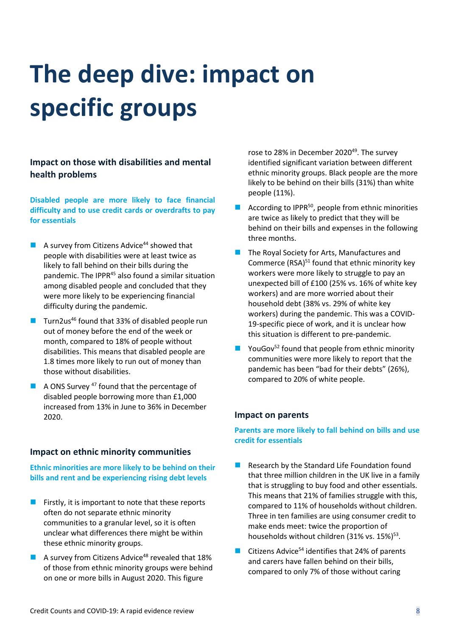# **The deep dive: impact on specific groups**

**Impact on those with disabilities and mental health problems**

**Disabled people are more likely to face financial difficulty and to use credit cards or overdrafts to pay for essentials**

- $\blacksquare$  A survey from Citizens Advice<sup>44</sup> showed that people with disabilities were at least twice as likely to fall behind on their bills during the pandemic. The IPPR<sup>45</sup> also found a similar situation among disabled people and concluded that they were more likely to be experiencing financial difficulty during the pandemic.
- Turn2us<sup>46</sup> found that 33% of disabled people run out of money before the end of the week or month, compared to 18% of people without disabilities. This means that disabled people are 1.8 times more likely to run out of money than those without disabilities.
- $\blacksquare$  A ONS Survey <sup>47</sup> found that the percentage of disabled people borrowing more than £1,000 increased from 13% in June to 36% in December 2020.

#### **Impact on ethnic minority communities**

**Ethnic minorities are more likely to be behind on their bills and rent and be experiencing rising debt levels**

- $\blacksquare$  Firstly, it is important to note that these reports often do not separate ethnic minority communities to a granular level, so it is often unclear what differences there might be within these ethnic minority groups.
- A survey from Citizens Advice<sup>48</sup> revealed that 18% of those from ethnic minority groups were behind on one or more bills in August 2020. This figure

rose to 28% in December 2020<sup>49</sup>. The survey identified significant variation between different ethnic minority groups. Black people are the more likely to be behind on their bills (31%) than white people (11%).

- According to IPPR<sup>50</sup>, people from ethnic minorities are twice as likely to predict that they will be behind on their bills and expenses in the following three months.
- The Royal Society for Arts, Manufactures and Commerce (RSA)<sup>51</sup> found that ethnic minority key workers were more likely to struggle to pay an unexpected bill of £100 (25% vs. 16% of white key workers) and are more worried about their household debt (38% vs. 29% of white key workers) during the pandemic. This was a COVID-19-specific piece of work, and it is unclear how this situation is different to pre-pandemic.
- $\blacksquare$  YouGov<sup>52</sup> found that people from ethnic minority communities were more likely to report that the pandemic has been "bad for their debts" (26%), compared to 20% of white people.

#### **Impact on parents**

**Parents are more likely to fall behind on bills and use credit for essentials**

- Research by the Standard Life Foundation found that three million children in the UK live in a family that is struggling to buy food and other essentials. This means that 21% of families struggle with this, compared to 11% of households without children. Three in ten families are using consumer credit to make ends meet: twice the proportion of households without children (31% vs. 15%)<sup>53</sup>.
- Citizens Advice<sup>54</sup> identifies that 24% of parents and carers have fallen behind on their bills, compared to only 7% of those without caring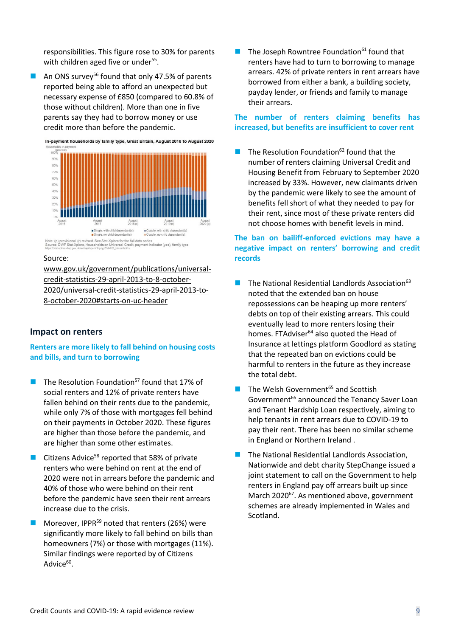responsibilities. This figure rose to 30% for parents with children aged five or under<sup>55</sup>.

■ An ONS survey<sup>56</sup> found that only 47.5% of parents reported being able to afford an unexpected but necessary expense of £850 (compared to 60.8% of those without children). More than one in five parents say they had to borrow money or use credit more than before the pandemic.



#### Source:

[www.gov.uk/government/publications/universal](https://www.gov.uk/government/publications/universal-credit-statistics-29-april-2013-to-8-october-2020/universal-credit-statistics-29-april-2013-to-8-october-2020#starts-on-uc-header)[credit-statistics-29-april-2013-to-8-october-](https://www.gov.uk/government/publications/universal-credit-statistics-29-april-2013-to-8-october-2020/universal-credit-statistics-29-april-2013-to-8-october-2020#starts-on-uc-header)[2020/universal-credit-statistics-29-april-2013-to-](https://www.gov.uk/government/publications/universal-credit-statistics-29-april-2013-to-8-october-2020/universal-credit-statistics-29-april-2013-to-8-october-2020#starts-on-uc-header)[8-october-2020#starts-on-uc-header](https://www.gov.uk/government/publications/universal-credit-statistics-29-april-2013-to-8-october-2020/universal-credit-statistics-29-april-2013-to-8-october-2020#starts-on-uc-header) 

#### **Impact on renters**

#### **Renters are more likely to fall behind on housing costs and bills, and turn to borrowing**

- The Resolution Foundation<sup>57</sup> found that 17% of social renters and 12% of private renters have fallen behind on their rents due to the pandemic, while only 7% of those with mortgages fell behind on their payments in October 2020. These figures are higher than those before the pandemic, and are higher than some other estimates.
- Citizens Advice<sup>58</sup> reported that 58% of private renters who were behind on rent at the end of 2020 were not in arrears before the pandemic and 40% of those who were behind on their rent before the pandemic have seen their rent arrears increase due to the crisis.
- Moreover, IPPR<sup>59</sup> noted that renters (26%) were significantly more likely to fall behind on bills than homeowners (7%) or those with mortgages (11%). Similar findings were reported by of Citizens Advice<sup>60</sup>.

 $\blacksquare$  The Joseph Rowntree Foundation<sup>61</sup> found that renters have had to turn to borrowing to manage arrears. 42% of private renters in rent arrears have borrowed from either a bank, a building society, payday lender, or friends and family to manage their arrears.

#### **The number of renters claiming benefits has increased, but benefits are insufficient to cover rent**

 $\blacksquare$  The Resolution Foundation<sup>62</sup> found that the number of renters claiming Universal Credit and Housing Benefit from February to September 2020 increased by 33%. However, new claimants driven by the pandemic were likely to see the amount of benefits fell short of what they needed to pay for their rent, since most of these private renters did not choose homes with benefit levels in mind.

#### **The ban on bailiff-enforced evictions may have a negative impact on renters' borrowing and credit records**

- $\blacksquare$  The National Residential Landlords Association<sup>63</sup> noted that the extended ban on house repossessions can be heaping up more renters' debts on top of their existing arrears. This could eventually lead to more renters losing their homes. FTAdviser<sup>64</sup> also quoted the Head of Insurance at lettings platform Goodlord as stating that the repeated ban on evictions could be harmful to renters in the future as they increase the total debt.
- The Welsh Government<sup>65</sup> and Scottish Government<sup>66</sup> announced the Tenancy Saver Loan and Tenant Hardship Loan respectively, aiming to help tenants in rent arrears due to COVID-19 to pay their rent. There has been no similar scheme in England or Northern Ireland .
- The National Residential Landlords Association, Nationwide and debt charity StepChange issued a joint statement to call on the Government to help renters in England pay off arrears built up since March 2020<sup>67</sup>. As mentioned above, government schemes are already implemented in Wales and Scotland.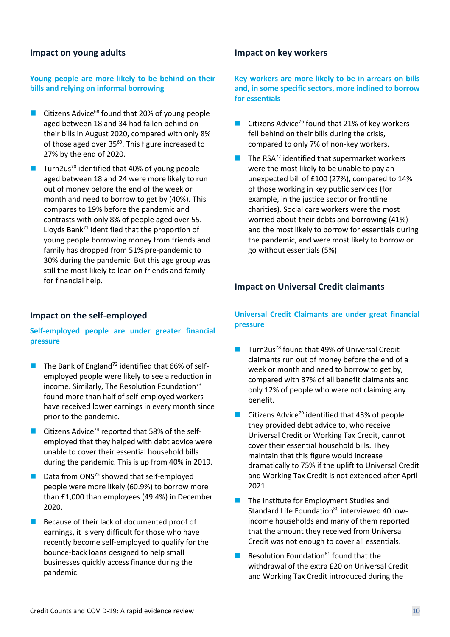#### **Impact on young adults**

#### **Young people are more likely to be behind on their bills and relying on informal borrowing**

- Citizens Advice<sup>68</sup> found that 20% of young people aged between 18 and 34 had fallen behind on their bills in August 2020, compared with only 8% of those aged over 35<sup>69</sup>. This figure increased to 27% by the end of 2020.
- Turn2us<sup>70</sup> identified that 40% of young people aged between 18 and 24 were more likely to run out of money before the end of the week or month and need to borrow to get by (40%). This compares to 19% before the pandemic and contrasts with only 8% of people aged over 55. Lloyds Bank $^{71}$  identified that the proportion of young people borrowing money from friends and family has dropped from 51% pre-pandemic to 30% during the pandemic. But this age group was still the most likely to lean on friends and family for financial help.

#### **Impact on the self-employed**

#### **Self-employed people are under greater financial pressure**

- $\blacksquare$  The Bank of England<sup>72</sup> identified that 66% of selfemployed people were likely to see a reduction in income. Similarly, The Resolution Foundation $73$ found more than half of self-employed workers have received lower earnings in every month since prior to the pandemic.
- Citizens Advice<sup>74</sup> reported that 58% of the selfemployed that they helped with debt advice were unable to cover their essential household bills during the pandemic. This is up from 40% in 2019.
- $\blacksquare$  Data from ONS<sup>75</sup> showed that self-employed people were more likely (60.9%) to borrow more than £1,000 than employees (49.4%) in December 2020.
- Because of their lack of documented proof of earnings, it is very difficult for those who have recently become self-employed to qualify for the bounce-back loans designed to help small businesses quickly access finance during the pandemic.

#### **Impact on key workers**

**Key workers are more likely to be in arrears on bills and, in some specific sectors, more inclined to borrow for essentials** 

- Citizens Advice<sup>76</sup> found that 21% of key workers fell behind on their bills during the crisis, compared to only 7% of non-key workers.
- $\blacksquare$  The RSA<sup>77</sup> identified that supermarket workers were the most likely to be unable to pay an unexpected bill of £100 (27%), compared to 14% of those working in key public services (for example, in the justice sector or frontline charities). Social care workers were the most worried about their debts and borrowing (41%) and the most likely to borrow for essentials during the pandemic, and were most likely to borrow or go without essentials (5%).

#### **Impact on Universal Credit claimants**

#### **Universal Credit Claimants are under great financial pressure**

- Turn2us<sup>78</sup> found that 49% of Universal Credit claimants run out of money before the end of a week or month and need to borrow to get by, compared with 37% of all benefit claimants and only 12% of people who were not claiming any benefit.
- Citizens Advice<sup>79</sup> identified that 43% of people they provided debt advice to, who receive Universal Credit or Working Tax Credit, cannot cover their essential household bills. They maintain that this figure would increase dramatically to 75% if the uplift to Universal Credit and Working Tax Credit is not extended after April 2021.
- The Institute for Employment Studies and Standard Life Foundation<sup>80</sup> interviewed 40 lowincome households and many of them reported that the amount they received from Universal Credit was not enough to cover all essentials.
- $\blacksquare$  Resolution Foundation<sup>81</sup> found that the withdrawal of the extra £20 on Universal Credit and Working Tax Credit introduced during the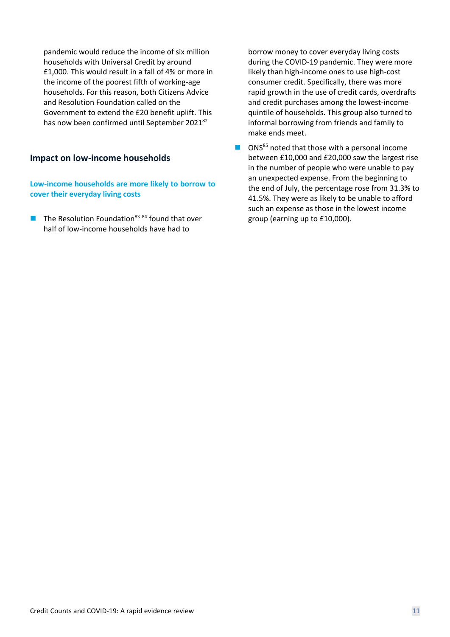pandemic would reduce the income of six million households with Universal Credit by around £1,000. This would result in a fall of 4% or more in the income of the poorest fifth of working-age households. For this reason, both Citizens Advice and Resolution Foundation called on the Government to extend the £20 benefit uplift. This has now been confirmed until September 2021<sup>82</sup>

#### **Impact on low-income households**

**Low-income households are more likely to borrow to cover their everyday living costs** 

 $\blacksquare$  The Resolution Foundation<sup>83 84</sup> found that over half of low-income households have had to

borrow money to cover everyday living costs during the COVID-19 pandemic. They were more likely than high-income ones to use high-cost consumer credit. Specifically, there was more rapid growth in the use of credit cards, overdrafts and credit purchases among the lowest-income quintile of households. This group also turned to informal borrowing from friends and family to make ends meet.

■ ONS<sup>85</sup> noted that those with a personal income between £10,000 and £20,000 saw the largest rise in the number of people who were unable to pay an unexpected expense. From the beginning to the end of July, the percentage rose from 31.3% to 41.5%. They were as likely to be unable to afford such an expense as those in the lowest income group (earning up to £10,000).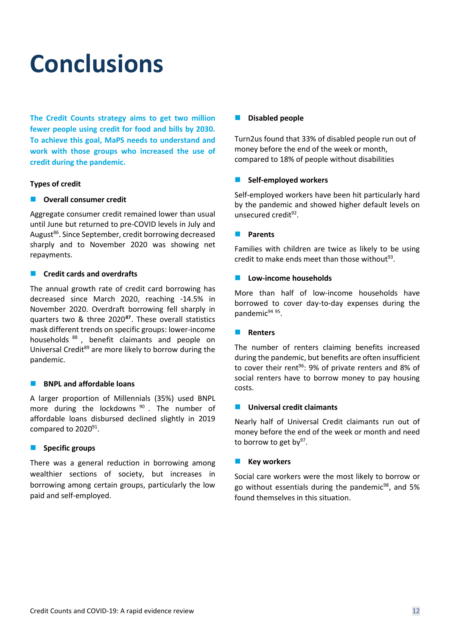## **Conclusions**

**The Credit Counts strategy aims to get two million fewer people using credit for food and bills by 2030. To achieve this goal, MaPS needs to understand and work with those groups who increased the use of credit during the pandemic.**

#### **Types of credit**

#### ■ Overall consumer credit

Aggregate consumer credit remained lower than usual until June but returned to pre-COVID levels in July and August<sup>86</sup>. Since September, credit borrowing decreased sharply and to November 2020 was showing net repayments.

#### ◼ **Credit cards and overdrafts**

The annual growth rate of credit card borrowing has decreased since March 2020, reaching -14.5% in November 2020. Overdraft borrowing fell sharply in quarters two & three 2020**<sup>87</sup>** . These overall statistics mask different trends on specific groups: lower-income households <sup>88</sup> , benefit claimants and people on Universal Credit<sup>89</sup> are more likely to borrow during the pandemic.

#### ■ **BNPL and affordable loans**

A larger proportion of Millennials (35%) used BNPL more during the lockdowns 90 . The number of affordable loans disbursed declined slightly in 2019 compared to 2020<sup>91</sup>.

#### ■ Specific groups

There was a general reduction in borrowing among wealthier sections of society, but increases in borrowing among certain groups, particularly the low paid and self-employed.

#### ■ **Disabled people**

Turn2us found that 33% of disabled people run out of money before the end of the week or month, compared to 18% of people without disabilities

#### ■ Self-employed workers

Self-employed workers have been hit particularly hard by the pandemic and showed higher default levels on unsecured credit<sup>92</sup>.

#### ◼ **Parents**

Families with children are twice as likely to be using credit to make ends meet than those without $93$ .

#### ◼ **Low-income households**

More than half of low-income households have borrowed to cover day-to-day expenses during the pandemic<sup>94 95</sup>.

#### **■** Renters

The number of renters claiming benefits increased during the pandemic, but benefits are often insufficient to cover their rent<sup>96</sup>: 9% of private renters and 8% of social renters have to borrow money to pay housing costs.

#### ■ Universal credit claimants

Nearly half of Universal Credit claimants run out of money before the end of the week or month and need to borrow to get by<sup>97</sup>.

#### **Key workers**

Social care workers were the most likely to borrow or go without essentials during the pandemic $98$ , and 5% found themselves in this situation.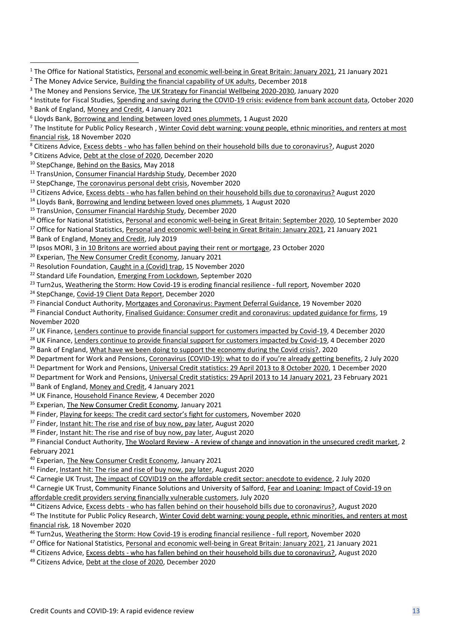<sup>10</sup> StepChange, [Behind on the Basics,](https://www.stepchange.org/policy-and-research/behind-on-the-basics.aspx) May 2018

<sup>11</sup> TransUnion, [Consumer Financial Hardship Study,](https://www.transunion.com/blog/financial-hardship-study/UK) December 2020

<sup>12</sup> StepChange, [The coronavirus personal debt crisis,](https://www.stepchange.org/Portals/0/assets/pdf/tackling-the-coronavirus-personal-debt-crisis.pdf) November 2020

<sup>13</sup> Citizens Advice, Excess debts - [who has fallen behind on their household bills due to coronavirus?](https://www.citizensadvice.org.uk/Global/CitizensAdvice/Debt%20and%20Money%20Publications/Excess%20Debts_who%20has%20fallen%20behind%20on%20their%20household%20bills%20due%20to%20coronavirus%20plus%20methodology).pdf) August 2020

<sup>14</sup> Lloyds Bank, [Borrowing and lending between loved ones plummets,](https://www.lloydsbankinggroup.com/media/press-releases/2020/lloyds-bank/borrowing-and-lending-between-loved-ones-plummets.html) 1 August 2020

- 15 TransUnion, [Consumer Financial Hardship Study,](https://www.transunion.com/blog/financial-hardship-study/UK) December 2020
- <sup>16</sup> Office for National Statistics[, Personal and economic well-being in Great Britain: September 2020,](https://www.ons.gov.uk/peoplepopulationandcommunity/wellbeing/bulletins/personalandeconomicwellbeingintheuk/september2020) 10 September 2020
- <sup>17</sup> Office for National Statistics[, Personal and economic well-being in Great Britain: January 2021,](https://www.ons.gov.uk/peoplepopulationandcommunity/wellbeing/bulletins/personalandeconomicwellbeingintheuk/january2021) 21 January 2021

<sup>18</sup> Bank of England[, Money and Credit,](https://www.bankofengland.co.uk/statistics/money-and-credit/2019/july-2019) July 2019

<sup>19</sup> Ipsos MORI[, 3 in 10 Britons are worried about paying their rent or mortgage,](https://www.ipsos.com/ipsos-mori/en-uk/3-10-britons-are-worried-about-paying-their-rent-or-mortgage) 23 October 2020

<sup>20</sup> Experian[, The New Consumer Credit Economy,](https://www.experian.co.uk/business/credit/newcrediteconomy) January 2021

<sup>21</sup> Resolution Foundation[, Caught in a \(Covid\) trap,](https://www.resolutionfoundation.org/publications/caught-in-a-covid-trap/) 15 November 2020

<sup>22</sup> Standard Life Foundation[, Emerging From Lockdown,](https://www.aberdeenstandard.com/docs?documentId=GB-280920-130082-1) September 2020

<sup>23</sup> Turn2us[, Weathering the Storm: How Covid-19 is eroding financial resilience -](https://www.turn2us.org.uk/T2UWebsite/media/Documents/Communications%20documents/Weathering-the-storm-How-Covid-19-is-eroding-financial-resilience-Full-Report-Final.pdf) full report, November 2020

<sup>24</sup> StepChange, [Covid-19 Client Data Report,](https://www.stepchange.org/Portals/0/assets/pdf/covid-19-client-report-dec-2020.pdf) December 2020

<sup>25</sup> Financial Conduct Authority, [Mortgages and Coronavirus: Payment Deferral Guidance,](https://www.fca.org.uk/publication/finalised-guidance/mortgages-coronavirus-payment-deferral-guidance.pdf) 19 November 2020

- $26$  Financial Conduct Authority, [Finalised Guidance: Consumer credit and coronavirus: updated guidance for firms,](https://www.fca.org.uk/publications/finalised-guidance/consumer-credit-and-coronavirus-updated-guidance-firms) 19 November 2020
- <sup>27</sup> UK Finance[, Lenders continue to provide financial support for customers impacted by Covid-19,](https://www.ukfinance.org.uk/press/press-releases/lenders-continue-provide-financial-support-customers-impacted-covid-19) 4 December 2020
- <sup>28</sup> UK Finance[, Lenders continue to provide financial support for customers impacted by Covid-19,](https://www.ukfinance.org.uk/press/press-releases/lenders-continue-provide-financial-support-customers-impacted-covid-19) 4 December 2020

<sup>29</sup> Bank of England[, What have we been doing to support the economy during the Covid crisis?,](https://www.bankofengland.co.uk/knowledgebank/what-have-we-been-doing-to-support-the-economy-during-the-covid-19-crisis) 2020

<sup>30</sup> Department for Work and Pensions, Coronavirus (COVID-[19\): what to do if you're already getting benefits](https://www.gov.uk/guidance/coronavirus-covid-19-what-to-do-if-youre-already-getting-benefits#working-tax-credit-and-child-tax-credit), 2 July 2020

<sup>31</sup> Department for Work and Pensions[, Universal Credit statistics: 29 April 2013 to 8 October 2020,](https://www.gov.uk/government/publications/universal-credit-statistics-29-april-2013-to-8-october-2020/universal-credit-statistics-29-april-2013-to-8-october-2020#starts-on-uc-header) 1 December 2020

<sup>32</sup> Department for Work and Pensions, Universal Credit statistics: 29 April 2013 to 14 January 2021, 23 February 2021

<sup>33</sup> Bank of England[, Money and Credit,](https://www.bankofengland.co.uk/news/?NewsTypes=571948d14c6943f7b5b7748ad80bef29&Taxonomies=65c741d9573d48c09359a3c48020fe76&InfiniteScrolling=False&Direction=Latest) 4 January 2021

<sup>34</sup> UK Finance[, Household Finance Review,](https://www.ukfinance.org.uk/data-and-research/data/household-finance/household-finance-review) 4 December 2020

<sup>35</sup> Experian[, The New Consumer Credit Economy,](https://www.experian.co.uk/business/credit/newcrediteconomy) January 2021

<sup>36</sup> Finder, [Playing for keeps: The credit card sector's fight for customers](https://dvh1deh6tagwk.cloudfront.net/finder-us/wp-uploads/sites/3/2020/11/whitepaper_credit_cards_.pdf), November 2020

<sup>37</sup> Finder, [Instant hit: The rise and rise of buy now, pay later,](https://dvh1deh6tagwk.cloudfront.net/finder-us/wp-uploads/sites/3/2019/10/instant_hit_buy_now_pay_later.pdf) August 2020

<sup>38</sup> Finder, [Instant hit: The rise and rise of buy now, pay later,](https://dvh1deh6tagwk.cloudfront.net/finder-us/wp-uploads/sites/3/2019/10/instant_hit_buy_now_pay_later.pdf) August 2020

<sup>39</sup> Financial Conduct Authority, The Woolard Review - [A review of change and innovation in the unsecured credit market,](https://www.fca.org.uk/publication/corporate/woolard-review-report.pdf) 2 February 2021

<sup>40</sup> Experian[, The New Consumer Credit Economy,](https://www.experian.co.uk/business/credit/newcrediteconomy) January 2021

- <sup>41</sup> Finder, [Instant hit: The rise and rise of buy now, pay later,](https://dvh1deh6tagwk.cloudfront.net/finder-us/wp-uploads/sites/3/2019/10/instant_hit_buy_now_pay_later.pdf) August 2020
- <sup>42</sup> Carnegie UK Trust, [The impact of COVID19 on the affordable credit sector: anecdote to evidence,](https://www.carnegieuktrust.org.uk/blog/the-impact-of-covid19-on-the-affordable-credit-sector-anecdote-to-evidence/) 2 July 2020

<sup>43</sup> Carnegie UK Trust, Community Finance Solutions and University of Salford, Fear and Loaning: Impact of Covid-19 on [affordable credit providers serving financially vulnerable customers,](https://d1ssu070pg2v9i.cloudfront.net/pex/carnegie_uk_trust/2020/08/17120904/Fear-and-Loaning-Impact-of-Covid-19.pdf) July 2020

<sup>44</sup> Citizens Advice, Excess debts - [who has fallen behind on their household bills due to coronavirus?,](https://www.citizensadvice.org.uk/Global/CitizensAdvice/Debt%20and%20Money%20Publications/Excess%20Debts_who%20has%20fallen%20behind%20on%20their%20household%20bills%20due%20to%20coronavirus%20plus%20methodology).pdf) August 2020

<sup>45</sup> The Institute for Public Policy Research, Winter Covid debt warning: young people, ethnic minorities, and renters at most [financial risk,](https://www.ippr.org/news-and-media/press-releases/winter-covid-debt-warning-young-people-ethnic-minorities-and-renters-at-most-financial-risk) 18 November 2020

<sup>46</sup> Turn2us[, Weathering the Storm: How Covid-19 is eroding financial resilience -](https://www.turn2us.org.uk/T2UWebsite/media/Documents/Communications%20documents/Weathering-the-storm-How-Covid-19-is-eroding-financial-resilience-Full-Report-Final.pdf) full report, November 2020

<sup>47</sup> Office for National Statistics[, Personal and economic well-being in Great Britain: January 2021,](https://www.ons.gov.uk/peoplepopulationandcommunity/wellbeing/bulletins/personalandeconomicwellbeingintheuk/january2021) 21 January 2021

48 Citizens Advice, Excess debts - [who has fallen behind on their household bills due to coronavirus?,](https://www.citizensadvice.org.uk/Global/CitizensAdvice/Debt%20and%20Money%20Publications/Excess%20Debts_who%20has%20fallen%20behind%20on%20their%20household%20bills%20due%20to%20coronavirus%20plus%20methodology).pdf) August 2020

<sup>1</sup> The Office for National Statistics, [Personal and economic well-being in Great Britain: January 2021,](https://www.ons.gov.uk/peoplepopulationandcommunity/wellbeing/bulletins/personalandeconomicwellbeingintheuk/january2021) 21 January 2021

<sup>&</sup>lt;sup>2</sup> The Money Advice Service, [Building the financial capability of UK adults,](https://www.moneyadviceservice.org.uk/en/corporate/research) December 2018

<sup>3</sup> The Money and Pensions Service, [The UK Strategy for Financial Wellbeing 2020-2030,](https://moneyandpensionsservice.org.uk/wp-content/uploads/2020/01/UK-Strategy-for-Financial-Wellbeing-2020-2030-Money-and-Pensions-Service.pdf) January 2020

<sup>&</sup>lt;sup>4</sup> Institute for Fiscal Studies[, Spending and saving during the COVID-19 crisis: evidence from bank account data,](https://www.aberdeenstandard.com/docs?documentId=GB-281020-132579-1) October 2020 <sup>5</sup> Bank of England[, Money and Credit,](https://www.bankofengland.co.uk/news/?NewsTypes=571948d14c6943f7b5b7748ad80bef29&Taxonomies=65c741d9573d48c09359a3c48020fe76&InfiniteScrolling=False&Direction=Latest) 4 January 2021

<sup>6</sup> Lloyds Bank, [Borrowing and lending between loved ones plummets,](https://www.lloydsbankinggroup.com/media/press-releases/2020/lloyds-bank/borrowing-and-lending-between-loved-ones-plummets.html) 1 August 2020

<sup>&</sup>lt;sup>7</sup> The Institute for Public Policy Research, Winter Covid debt warning: young people, ethnic minorities, and renters at most [financial risk,](https://www.ippr.org/news-and-media/press-releases/winter-covid-debt-warning-young-people-ethnic-minorities-and-renters-at-most-financial-risk) 18 November 2020

<sup>8</sup> Citizens Advice, Excess debts - [who has fallen behind on their household bills due to coronavirus?,](https://www.citizensadvice.org.uk/Global/CitizensAdvice/Debt%20and%20Money%20Publications/Excess%20Debts_who%20has%20fallen%20behind%20on%20their%20household%20bills%20due%20to%20coronavirus%20plus%20methodology).pdf) August 2020

<sup>9</sup> Citizens Advice[, Debt at the close of 2020,](https://www.citizensadvice.org.uk/Global/CitizensAdvice/Debt%20and%20Money%20Publications/2020%20debts%20report.pdf) December 2020

<sup>49</sup> Citizens Advice, [Debt at the close of 2020,](https://www.citizensadvice.org.uk/Global/CitizensAdvice/Debt%20and%20Money%20Publications/2020%20debts%20report.pdf) December 2020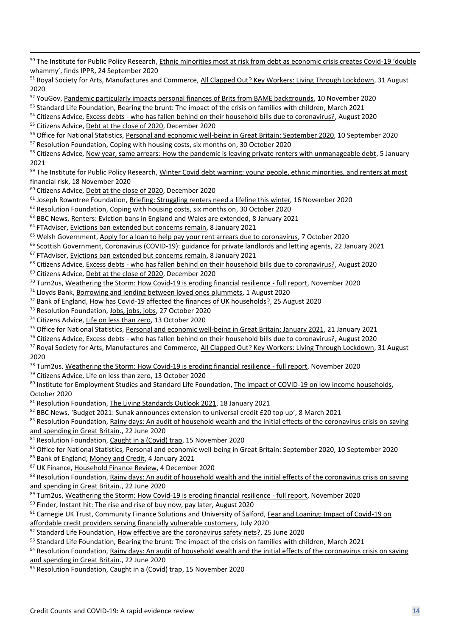50 The Institute for Public Policy Research, [Ethnic minorities most at risk from debt as economic crisis creates Covid-](https://www.ippr.org/news-and-media/press-releases/ethnic-minorities-most-at-risk-from-debt-as-economic-crisis-creates-covid-19-double-whammy-finds-ippr)19 'double [whammy', finds IPPR](https://www.ippr.org/news-and-media/press-releases/ethnic-minorities-most-at-risk-from-debt-as-economic-crisis-creates-covid-19-double-whammy-finds-ippr), 24 September 2020

<sup>51</sup> Royal Society for Arts, Manufactures and Commerce[, All Clapped Out? Key Workers: Living Through Lockdown,](https://www.thersa.org/globalassets/reports/2020/rsa-briefing-all-clapped-out.pdf) 31 August 2020

<sup>52</sup> YouGov, [Pandemic particularly impacts personal finances of Brits from BAME backgrounds,](https://yougov.co.uk/topics/economy/articles-reports/2020/11/09/pandemic-particularly-impacts-personal-finances-br) 10 November 2020

53 Standard Life Foundation[, Bearing the brunt: The impact of the crisis on families with children,](https://www.aberdeenstandard.com/docs?editionId=d1d29721-a5fd-48d6-811e-a755e572fce2) March 2021

<sup>54</sup> Citizens Advice, Excess debts - [who has fallen behind on their household bills due to coronavirus?,](https://www.citizensadvice.org.uk/Global/CitizensAdvice/Debt%20and%20Money%20Publications/Excess%20Debts_who%20has%20fallen%20behind%20on%20their%20household%20bills%20due%20to%20coronavirus%20plus%20methodology).pdf) August 2020

55 Citizens Advice, [Debt at the close of 2020,](https://www.citizensadvice.org.uk/Global/CitizensAdvice/Debt%20and%20Money%20Publications/2020%20debts%20report.pdf) December 2020

<sup>56</sup> Office for National Statistics[, Personal and economic well-being in Great Britain: September 2020,](https://www.ons.gov.uk/peoplepopulationandcommunity/wellbeing/bulletins/personalandeconomicwellbeingintheuk/september2020) 10 September 2020

<sup>57</sup> Resolution Foundation[, Coping with housing costs, six months on,](https://www.resolutionfoundation.org/publications/coping-with-housing-costs-six-months-on/) 30 October 2020

<sup>58</sup> Citizens Advice, [New year, same arrears: How the pandemic is leaving private renters with unmanageable debt,](https://www.citizensadvice.org.uk/Global/CitizensAdvice/Housing%20Publications/New%20year,%20same%20arrears.pdf) 5 January 2021

<sup>59</sup> The Institute for Public Policy Research, Winter Covid debt warning: young people, ethnic minorities, and renters at most [financial risk,](https://www.ippr.org/news-and-media/press-releases/winter-covid-debt-warning-young-people-ethnic-minorities-and-renters-at-most-financial-risk) 18 November 2020

<sup>60</sup> Citizens Advice, [Debt at the close of 2020,](https://www.citizensadvice.org.uk/Global/CitizensAdvice/Debt%20and%20Money%20Publications/2020%20debts%20report.pdf) December 2020

<sup>61</sup> Joseph Rowntree Foundation[, Briefing: Struggling renters need a lifeline this winter,](https://www.jrf.org.uk/report/struggling-renters-need-lifeline-winter) 16 November 2020

<sup>62</sup> Resolution Foundation[, Coping with housing costs, six months on,](https://www.resolutionfoundation.org/publications/coping-with-housing-costs-six-months-on/) 30 October 2020

<sup>63</sup> BBC News, [Renters: Eviction bans in England and Wales are extended,](https://www.bbc.co.uk/news/business-55586081#:~:text=Renter%20support,from%20three%20to%20six%20months) 8 January 2021

<sup>64</sup> FTAdviser, Evictions ban [extended but concerns remain,](https://www.ftadviser.com/mortgages/2021/01/08/warning-sounded-on-rent-arrears-after-lockdown/) 8 January 2021

<sup>65</sup> Welsh Government, [Apply for a loan to help pay your rent arrears due to coronavirus,](https://gov.wales/apply-loan-help-pay-your-rent-arrears-due-coronavirus) 7 October 2020

<sup>66</sup> Scottish Government, [Coronavirus \(COVID-19\): guidance for private landlords and letting agents,](https://www.gov.scot/publications/coronavirus-covid-19-landlord-and-letting-agent-faqs/) 22 January 2021

<sup>67</sup> FTAdviser, [Evictions ban extended but concerns remain,](https://www.ftadviser.com/mortgages/2021/01/08/warning-sounded-on-rent-arrears-after-lockdown/) 8 January 2021

<sup>68</sup> Citizens Advice, Excess debts - [who has fallen behind on their household bills due to coronavirus?,](https://www.citizensadvice.org.uk/Global/CitizensAdvice/Debt%20and%20Money%20Publications/Excess%20Debts_who%20has%20fallen%20behind%20on%20their%20household%20bills%20due%20to%20coronavirus%20plus%20methodology).pdf) August 2020

<sup>69</sup> Citizens Advice, [Debt at the close of 2020,](https://www.citizensadvice.org.uk/Global/CitizensAdvice/Debt%20and%20Money%20Publications/2020%20debts%20report.pdf) December 2020

<sup>70</sup> Turn2us[, Weathering the Storm: How Covid-19 is eroding financial resilience -](https://www.turn2us.org.uk/T2UWebsite/media/Documents/Communications%20documents/Weathering-the-storm-How-Covid-19-is-eroding-financial-resilience-Full-Report-Final.pdf) full report, November 2020

<sup>71</sup> Lloyds Bank, [Borrowing and lending between loved ones plummets,](https://www.lloydsbankinggroup.com/media/press-releases/2020/lloyds-bank/borrowing-and-lending-between-loved-ones-plummets.html) 1 August 2020

<sup>72</sup> Bank of England[, How has Covid-19 affected the finances of UK households?,](https://www.bankofengland.co.uk/bank-overground/2020/how-has-covid-19-affected-the-finances-of-uk-households) 25 August 2020

<sup>73</sup> Resolution Foundation[, Jobs, jobs, jobs,](https://www.resolutionfoundation.org/publications/jobs-jobs-jobs/) 27 October 2020

<sup>74</sup> Citizens Advice, [Life on less than zero,](https://www.citizensadvice.org.uk/about-us/policy/policy-research-topics/debt-and-money-policy-research/life-on-less-than-zero/) 13 October 2020

<sup>75</sup> Office for National Statistics[, Personal and economic well-being in Great](https://www.ons.gov.uk/peoplepopulationandcommunity/wellbeing/bulletins/personalandeconomicwellbeingintheuk/january2021) Britain: January 2021, 21 January 2021

<sup>76</sup> Citizens Advice, Excess debts - [who has fallen behind on their household bills due to coronavirus?,](https://www.citizensadvice.org.uk/Global/CitizensAdvice/Debt%20and%20Money%20Publications/Excess%20Debts_who%20has%20fallen%20behind%20on%20their%20household%20bills%20due%20to%20coronavirus%20plus%20methodology).pdf) August 2020

<sup>77</sup> Royal Society for Arts, Manufactures and Commerce[, All Clapped Out? Key Workers: Living Through Lockdown,](https://www.thersa.org/globalassets/reports/2020/rsa-briefing-all-clapped-out.pdf) 31 August 2020

<sup>78</sup> Turn2us[, Weathering the Storm: How Covid-19 is eroding financial resilience -](https://www.turn2us.org.uk/T2UWebsite/media/Documents/Communications%20documents/Weathering-the-storm-How-Covid-19-is-eroding-financial-resilience-Full-Report-Final.pdf) full report, November 2020

<sup>79</sup> Citizens Advice, [Life on less than zero,](https://www.citizensadvice.org.uk/about-us/policy/policy-research-topics/debt-and-money-policy-research/life-on-less-than-zero/) 13 October 2020

80 Institute for Employment Studies and Standard Life Foundation, [The impact of COVID-19 on low](https://www.aberdeenstandard.com/docs?editionId=d8ccb8db-be5a-43e3-88da-b7e2025c9b9e) income households, October 2020

81 Resolution Foundation[, The Living Standards Outlook 2021,](https://www.resolutionfoundation.org/publications/the-living-standards-outlook-2021/) 18 January 2021

 $82$  BBC News, '[Budget 2021: Sunak announces extension to universal credit £20 top up](https://www.bbc.co.uk/news/uk-politics-56268229)', 8 March 2021

83 Resolution Foundation, Rainy days: An audit of household wealth and the initial effects of the coronavirus crisis on saving [and spending in Great Britain.,](https://www.resolutionfoundation.org/publications/rainy-days/) 22 June 2020

84 Resolution Foundation[, Caught in a \(Covid\) trap,](https://www.resolutionfoundation.org/publications/caught-in-a-covid-trap/) 15 November 2020

85 Office for National Statistics[, Personal and economic well-being in Great Britain: September 2020,](https://www.ons.gov.uk/peoplepopulationandcommunity/wellbeing/bulletins/personalandeconomicwellbeingintheuk/september2020) 10 September 2020

86 Bank of England[, Money and Credit,](https://www.bankofengland.co.uk/news/?NewsTypes=571948d14c6943f7b5b7748ad80bef29&Taxonomies=65c741d9573d48c09359a3c48020fe76&InfiniteScrolling=False&Direction=Latest) 4 January 2021

87 UK Finance[, Household Finance Review,](https://www.ukfinance.org.uk/data-and-research/data/household-finance/household-finance-review) 4 December 2020

88 Resolution Foundation, Rainy days: An audit of household wealth and the initial effects of the coronavirus crisis on saving [and spending in Great Britain.,](https://www.resolutionfoundation.org/publications/rainy-days/) 22 June 2020

89 Turn2us[, Weathering the Storm: How Covid-19 is eroding financial resilience -](https://www.turn2us.org.uk/T2UWebsite/media/Documents/Communications%20documents/Weathering-the-storm-How-Covid-19-is-eroding-financial-resilience-Full-Report-Final.pdf) full report, November 2020

<sup>90</sup> Finder, [Instant hit: The rise and rise of buy now, pay later,](https://dvh1deh6tagwk.cloudfront.net/finder-us/wp-uploads/sites/3/2019/10/instant_hit_buy_now_pay_later.pdf) August 2020

 $91$  Carnegie UK Trust, Community Finance Solutions and University of Salford, Fear and Loaning: Impact of Covid-19 on [affordable credit providers serving financially vulnerable customers,](https://d1ssu070pg2v9i.cloudfront.net/pex/carnegie_uk_trust/2020/08/17120904/Fear-and-Loaning-Impact-of-Covid-19.pdf) July 2020

92 Standard Life Foundation[, How effective are the coronavirus safety nets?,](https://www.standardlifefoundation.org.uk/en/media-centre/media-centre-news-article/how-effective-are-the-coronavirus-safety-nets) 25 June 2020

 $93$  Standard Life Foundation[, Bearing the brunt: The impact of the crisis on families with children,](https://www.aberdeenstandard.com/docs?editionId=d1d29721-a5fd-48d6-811e-a755e572fce2) March 2021

94 Resolution Foundation, Rainy days: An audit of household wealth and the initial effects of the coronavirus crisis on saving [and spending in Great Britain.,](https://www.resolutionfoundation.org/publications/rainy-days/) 22 June 2020

 $95$  Resolution Foundation[, Caught in a \(Covid\) trap,](https://www.resolutionfoundation.org/publications/caught-in-a-covid-trap/) 15 November 2020